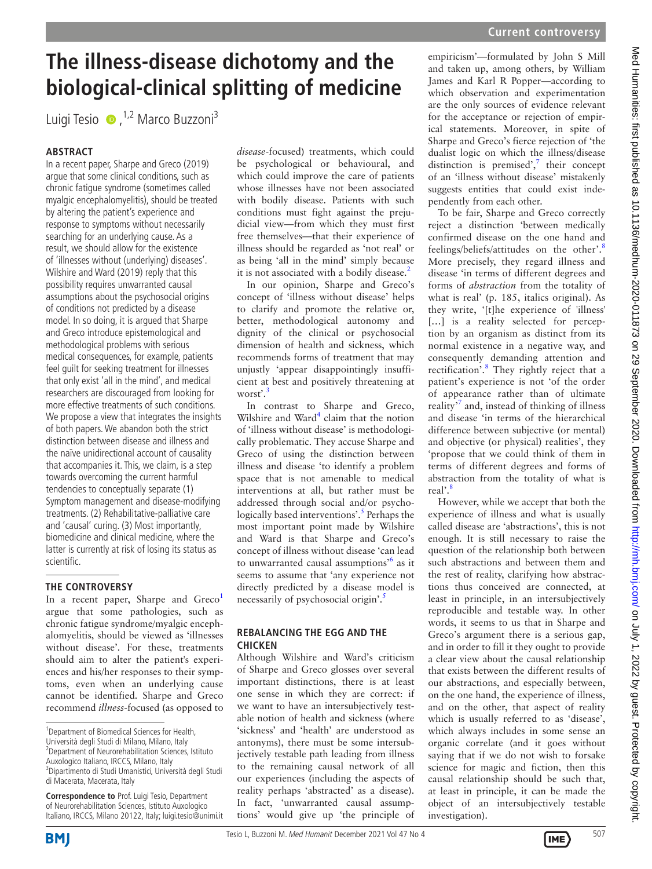# **The illness-disease dichotomy and the biological-clinical splitting of medicine**

LuigiTesio  $\bullet$ , <sup>1,2</sup> Marco Buzzoni<sup>3</sup>

# **Abstract**

In a recent paper, Sharpe and Greco (2019) argue that some clinical conditions, such as chronic fatigue syndrome (sometimes called myalgic encephalomyelitis), should be treated by altering the patient's experience and response to symptoms without necessarily searching for an underlying cause. As a result, we should allow for the existence of 'illnesses without (underlying) diseases'. Wilshire and Ward (2019) reply that this possibility requires unwarranted causal assumptions about the psychosocial origins of conditions not predicted by a disease model. In so doing, it is argued that Sharpe and Greco introduce epistemological and methodological problems with serious medical consequences, for example, patients feel guilt for seeking treatment for illnesses that only exist 'all in the mind', and medical researchers are discouraged from looking for more effective treatments of such conditions. We propose a view that integrates the insights of both papers. We abandon both the strict distinction between disease and illness and the naïve unidirectional account of causality that accompanies it. This, we claim, is a step towards overcoming the current harmful tendencies to conceptually separate (1) Symptom management and disease-modifying treatments. (2) Rehabilitative-palliative care and 'causal' curing. (3) Most importantly, biomedicine and clinical medicine, where the latter is currently at risk of losing its status as scientific.

# **The controversy**

In a recent paper, Sharpe and  $Greco<sup>1</sup>$  $Greco<sup>1</sup>$  $Greco<sup>1</sup>$ argue that some pathologies, such as chronic fatigue syndrome/myalgic encephalomyelitis, should be viewed as 'illnesses without disease'. For these, treatments should aim to alter the patient's experiences and his/her responses to their symptoms, even when an underlying cause cannot be identified. Sharpe and Greco recommend *illness*-focused (as opposed to

**Correspondence to** Prof. Luigi Tesio, Department of Neurorehabilitation Sciences, Istituto Auxologico Italiano, IRCCS, Milano 20122, Italy; luigi.tesio@unimi.it *disease*-focused) treatments, which could be psychological or behavioural, and which could improve the care of patients whose illnesses have not been associated with bodily disease. Patients with such conditions must fight against the prejudicial view—from which they must first free themselves—that their experience of illness should be regarded as 'not real' or as being 'all in the mind' simply because it is not associated with a bodily disease.<sup>[2](#page-4-1)</sup>

In our opinion, Sharpe and Greco's concept of 'illness without disease' helps to clarify and promote the relative or, better, methodological autonomy and dignity of the clinical or psychosocial dimension of health and sickness, which recommends forms of treatment that may unjustly 'appear disappointingly insufficient at best and positively threatening at worst'.<sup>[3](#page-4-2)</sup>

In contrast to Sharpe and Greco, Wilshire and Ward<sup>[4](#page-4-3)</sup> claim that the notion of 'illness without disease' is methodologically problematic. They accuse Sharpe and Greco of using the distinction between illness and disease 'to identify a problem space that is not amenable to medical interventions at all, but rather must be addressed through social and/or psycho-logically based interventions'.<sup>[5](#page-4-4)</sup> Perhaps the most important point made by Wilshire and Ward is that Sharpe and Greco's concept of illness without disease 'can lead to unwarranted causal assumptions<sup>5[6](#page-4-5)</sup> as it seems to assume that 'any experience not directly predicted by a disease model is necessarily of psychosocial origin'.<sup>5</sup>

# **Rebalancing the egg and the chicken**

Although Wilshire and Ward's criticism of Sharpe and Greco glosses over several important distinctions, there is at least one sense in which they are correct: if we want to have an intersubjectively testable notion of health and sickness (where 'sickness' and 'health' are understood as antonyms), there must be some intersubjectively testable path leading from illness to the remaining causal network of all our experiences (including the aspects of reality perhaps 'abstracted' as a disease). In fact, 'unwarranted causal assumptions' would give up 'the principle of empiricism'—formulated by John S Mill and taken up, among others, by William James and Karl R Popper—according to which observation and experimentation are the only sources of evidence relevant for the acceptance or rejection of empirical statements. Moreover, in spite of Sharpe and Greco's fierce rejection of 'the dualist logic on which the illness/disease distinction is premised', $^7$  $^7$  their concept of an 'illness without disease' mistakenly suggests entities that could exist independently from each other.

To be fair, Sharpe and Greco correctly reject a distinction 'between medically confirmed disease on the one hand and feelings/beliefs/attitudes on the other'.[8](#page-4-7) More precisely, they regard illness and disease 'in terms of different degrees and forms of *abstraction* from the totality of what is real' (p. 185, italics original). As they write, '[t]he experience of 'illness' [...] is a reality selected for perception by an organism as distinct from its normal existence in a negative way, and consequently demanding attention and rectification'.<sup>8</sup> They rightly reject that a patient's experience is not 'of the order of appearance rather than of ultimate reality" and, instead of thinking of illness and disease 'in terms of the hierarchical difference between subjective (or mental) and objective (or physical) realities', they 'propose that we could think of them in terms of different degrees and forms of abstraction from the totality of what is real'.<sup>8</sup>

However, while we accept that both the experience of illness and what is usually called disease are 'abstractions', this is not enough. It is still necessary to raise the question of the relationship both between such abstractions and between them and the rest of reality, clarifying how abstractions thus conceived are connected, at least in principle, in an intersubjectively reproducible and testable way. In other words, it seems to us that in Sharpe and Greco's argument there is a serious gap, and in order to fill it they ought to provide a clear view about the causal relationship that exists between the different results of our abstractions, and especially between, on the one hand, the experience of illness, and on the other, that aspect of reality which is usually referred to as 'disease', which always includes in some sense an organic correlate (and it goes without saying that if we do not wish to forsake science for magic and fiction, then this causal relationship should be such that, at least in principle, it can be made the object of an intersubjectively testable investigation).





<sup>&</sup>lt;sup>1</sup> Department of Biomedical Sciences for Health, Università degli Studi di Milano, Milano, Italy 2 Department of Neurorehabilitation Sciences, Istituto Auxologico Italiano, IRCCS, Milano, Italy <sup>3</sup>Dipartimento di Studi Umanistici, Università degli Studi di Macerata, Macerata, Italy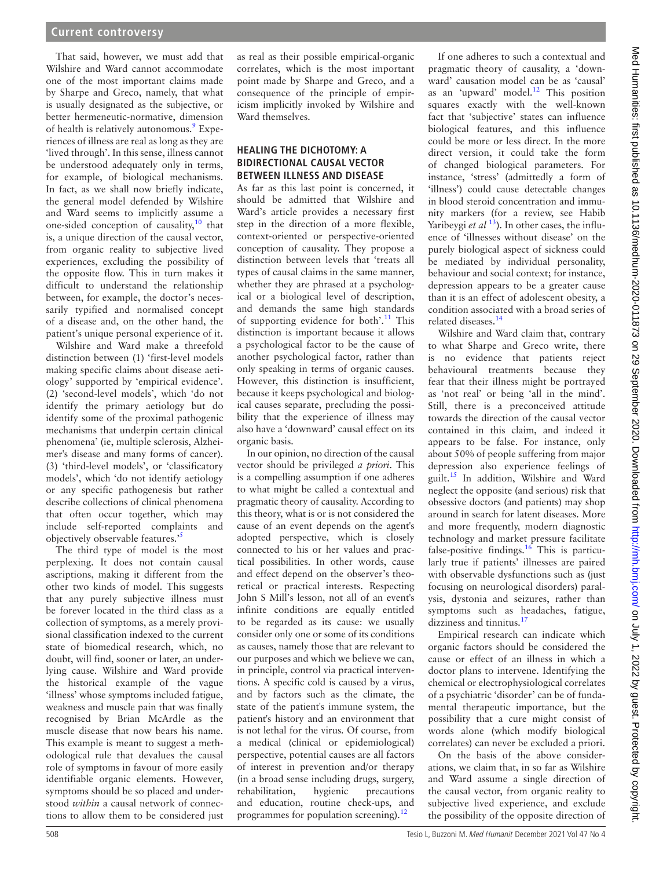That said, however, we must add that Wilshire and Ward cannot accommodate one of the most important claims made by Sharpe and Greco, namely, that what is usually designated as the subjective, or better hermeneutic-normative, dimension of health is relatively autonomous.<sup>[9](#page-4-8)</sup> Experiences of illness are real as long as they are 'lived through'. In this sense, illness cannot be understood adequately only in terms, for example, of biological mechanisms. In fact, as we shall now briefly indicate, the general model defended by Wilshire and Ward seems to implicitly assume a one-sided conception of causality,<sup>[10](#page-4-9)</sup> that is, a unique direction of the causal vector, from organic reality to subjective lived experiences, excluding the possibility of the opposite flow. This in turn makes it difficult to understand the relationship between, for example, the doctor's necessarily typified and normalised concept of a disease and, on the other hand, the patient's unique personal experience of it.

Wilshire and Ward make a threefold distinction between (1) 'first-level models making specific claims about disease aetiology' supported by 'empirical evidence'. (2) 'second-level models', which 'do not identify the primary aetiology but do identify some of the proximal pathogenic mechanisms that underpin certain clinical phenomena' (ie, multiple sclerosis, Alzheimer's disease and many forms of cancer). (3) 'third-level models', or 'classificatory models', which 'do not identify aetiology or any specific pathogenesis but rather describe collections of clinical phenomena that often occur together, which may include self-reported complaints and objectively observable features.'5

The third type of model is the most perplexing. It does not contain causal ascriptions, making it different from the other two kinds of model. This suggests that any purely subjective illness must be forever located in the third class as a collection of symptoms, as a merely provisional classification indexed to the current state of biomedical research, which, no doubt, will find, sooner or later, an underlying cause. Wilshire and Ward provide the historical example of the vague 'illness' whose symptoms included fatigue, weakness and muscle pain that was finally recognised by Brian McArdle as the muscle disease that now bears his name. This example is meant to suggest a methodological rule that devalues the causal role of symptoms in favour of more easily identifiable organic elements. However, symptoms should be so placed and understood *within* a causal network of connections to allow them to be considered just

as real as their possible empirical-organic correlates, which is the most important point made by Sharpe and Greco, and a consequence of the principle of empiricism implicitly invoked by Wilshire and Ward themselves.

## **Healing the dichotomy: a bidirectional causal vector between illness and disease**

As far as this last point is concerned, it should be admitted that Wilshire and Ward's article provides a necessary first step in the direction of a more flexible, context-oriented or perspective-oriented conception of causality. They propose a distinction between levels that 'treats all types of causal claims in the same manner, whether they are phrased at a psychological or a biological level of description, and demands the same high standards of supporting evidence for both'.[11](#page-4-10) This distinction is important because it allows a psychological factor to be the cause of another psychological factor, rather than only speaking in terms of organic causes. However, this distinction is insufficient, because it keeps psychological and biological causes separate, precluding the possibility that the experience of illness may also have a 'downward' causal effect on its organic basis.

In our opinion, no direction of the causal vector should be privileged *a priori*. This is a compelling assumption if one adheres to what might be called a contextual and pragmatic theory of causality. According to this theory, what is or is not considered the cause of an event depends on the agent's adopted perspective, which is closely connected to his or her values and practical possibilities. In other words, cause and effect depend on the observer's theoretical or practical interests. Respecting John S Mill's lesson, not all of an event's infinite conditions are equally entitled to be regarded as its cause: we usually consider only one or some of its conditions as causes, namely those that are relevant to our purposes and which we believe we can, in principle, control via practical interventions. A specific cold is caused by a virus, and by factors such as the climate, the state of the patient's immune system, the patient's history and an environment that is not lethal for the virus. Of course, from a medical (clinical or epidemiological) perspective, potential causes are all factors of interest in prevention and/or therapy (in a broad sense including drugs, surgery, rehabilitation, hygienic precautions and education, routine check-ups, and programmes for population screening).<sup>[12](#page-4-11)</sup>

If one adheres to such a contextual and pragmatic theory of causality, a 'downward' causation model can be as 'causal' as an 'upward' model.<sup>12</sup> This position squares exactly with the well-known fact that 'subjective' states can influence biological features, and this influence could be more or less direct. In the more direct version, it could take the form of changed biological parameters. For instance, 'stress' (admittedly a form of 'illness') could cause detectable changes in blood steroid concentration and immunity markers (for a review, see Habib Yaribeygi *et al* <sup>[13](#page-4-12)</sup>). In other cases, the influence of 'illnesses without disease' on the purely biological aspect of sickness could be mediated by individual personality, behaviour and social context; for instance, depression appears to be a greater cause than it is an effect of adolescent obesity, a condition associated with a broad series of related diseases.[14](#page-4-13)

Wilshire and Ward claim that, contrary to what Sharpe and Greco write, there is no evidence that patients reject behavioural treatments because they fear that their illness might be portrayed as 'not real' or being 'all in the mind'. Still, there is a preconceived attitude towards the direction of the causal vector contained in this claim, and indeed it appears to be false. For instance, only about 50% of people suffering from major depression also experience feelings of guilt.<sup>15</sup> In addition, Wilshire and Ward neglect the opposite (and serious) risk that obsessive doctors (and patients) may shop around in search for latent diseases. More and more frequently, modern diagnostic technology and market pressure facilitate false-positive findings.<sup>16</sup> This is particularly true if patients' illnesses are paired with observable dysfunctions such as (just focusing on neurological disorders) paralysis, dystonia and seizures, rather than symptoms such as headaches, fatigue, dizziness and tinnitus.<sup>[17](#page-4-16)</sup>

Empirical research can indicate which organic factors should be considered the cause or effect of an illness in which a doctor plans to intervene. Identifying the chemical or electrophysiological correlates of a psychiatric 'disorder' can be of fundamental therapeutic importance, but the possibility that a cure might consist of words alone (which modify biological correlates) can never be excluded a priori.

On the basis of the above considerations, we claim that, in so far as Wilshire and Ward assume a single direction of the causal vector, from organic reality to subjective lived experience, and exclude the possibility of the opposite direction of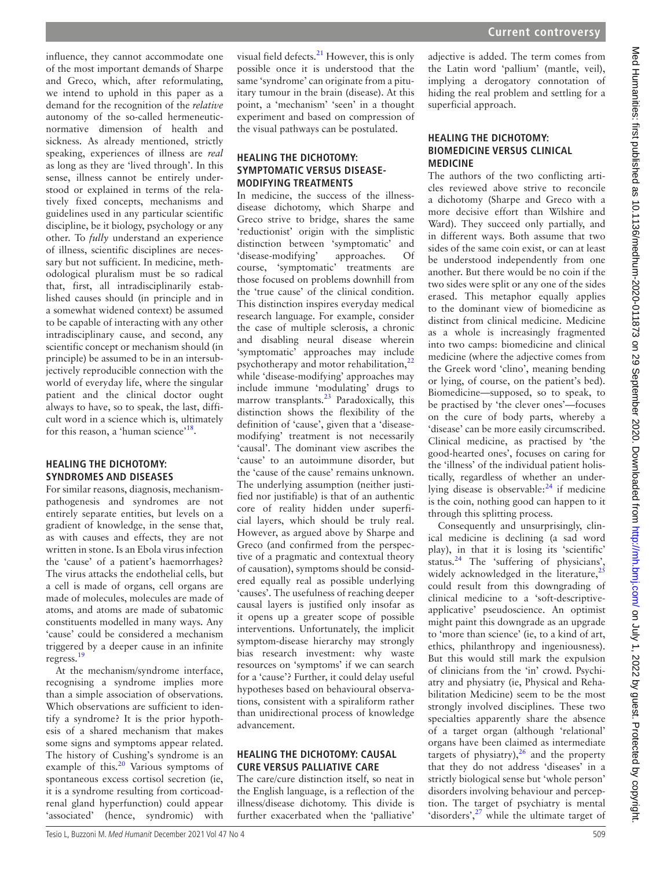influence, they cannot accommodate one of the most important demands of Sharpe and Greco, which, after reformulating, we intend to uphold in this paper as a demand for the recognition of the *relative* autonomy of the so-called hermeneuticnormative dimension of health and sickness. As already mentioned, strictly speaking, experiences of illness are *real* as long as they are 'lived through'. In this sense, illness cannot be entirely understood or explained in terms of the relatively fixed concepts, mechanisms and guidelines used in any particular scientific discipline, be it biology, psychology or any other. To *fully* understand an experience of illness, scientific disciplines are necessary but not sufficient. In medicine, methodological pluralism must be so radical that, first, all intradisciplinarily established causes should (in principle and in a somewhat widened context) be assumed to be capable of interacting with any other intradisciplinary cause, and second, any scientific concept or mechanism should (in principle) be assumed to be in an intersubjectively reproducible connection with the world of everyday life, where the singular patient and the clinical doctor ought always to have, so to speak, the last, difficult word in a science which is, ultimately for this reason, a 'human science'<sup>18</sup>.

# **Healing the dichotomy: syndromes and diseases**

For similar reasons, diagnosis, mechanismpathogenesis and syndromes are not entirely separate entities, but levels on a gradient of knowledge, in the sense that, as with causes and effects, they are not written in stone. Is an Ebola virus infection the 'cause' of a patient's haemorrhages? The virus attacks the endothelial cells, but a cell is made of organs, cell organs are made of molecules, molecules are made of atoms, and atoms are made of subatomic constituents modelled in many ways. Any 'cause' could be considered a mechanism triggered by a deeper cause in an infinite regress.<sup>[19](#page-4-18)</sup>

At the mechanism/syndrome interface, recognising a syndrome implies more than a simple association of observations. Which observations are sufficient to identify a syndrome? It is the prior hypothesis of a shared mechanism that makes some signs and symptoms appear related. The history of Cushing's syndrome is an example of this.<sup>20</sup> Various symptoms of spontaneous excess cortisol secretion (ie, it is a syndrome resulting from corticoadrenal gland hyperfunction) could appear 'associated' (hence, syndromic) with

visual field defects. $^{21}$  However, this is only possible once it is understood that the same 'syndrome' can originate from a pituitary tumour in the brain (disease). At this point, a 'mechanism' 'seen' in a thought experiment and based on compression of the visual pathways can be postulated.

# **Healing the dichotomy: symptomatic versus diseasemodifying treatments**

In medicine, the success of the illnessdisease dichotomy, which Sharpe and Greco strive to bridge, shares the same 'reductionist' origin with the simplistic distinction between 'symptomatic' and 'disease-modifying' approaches. Of course, 'symptomatic' treatments are those focused on problems downhill from the 'true cause' of the clinical condition. This distinction inspires everyday medical research language. For example, consider the case of multiple sclerosis, a chronic and disabling neural disease wherein 'symptomatic' approaches may include psychotherapy and motor rehabilitation, $<sup>2</sup>$ </sup> while 'disease-modifying' approaches may include immune 'modulating' drugs to marrow transplants.<sup>23</sup> Paradoxically, this distinction shows the flexibility of the definition of 'cause', given that a 'diseasemodifying' treatment is not necessarily 'causal'. The dominant view ascribes the 'cause' to an autoimmune disorder, but the 'cause of the cause' remains unknown. The underlying assumption (neither justified nor justifiable) is that of an authentic core of reality hidden under superficial layers, which should be truly real. However, as argued above by Sharpe and Greco (and confirmed from the perspective of a pragmatic and contextual theory of causation), symptoms should be considered equally real as possible underlying 'causes'. The usefulness of reaching deeper causal layers is justified only insofar as it opens up a greater scope of possible interventions. Unfortunately, the implicit symptom-disease hierarchy may strongly bias research investment: why waste resources on 'symptoms' if we can search for a 'cause'? Further, it could delay useful hypotheses based on behavioural observations, consistent with a spiraliform rather than unidirectional process of knowledge advancement.

### **Healing the dichotomy: causal cure versus palliative care**

The care/cure distinction itself, so neat in the English language, is a reflection of the illness/disease dichotomy. This divide is further exacerbated when the 'palliative' adjective is added. The term comes from the Latin word 'pallium' (mantle, veil), implying a derogatory connotation of hiding the real problem and settling for a superficial approach.

#### **Healing the dichotomy: biomedicine versus clinical medicine**

The authors of the two conflicting articles reviewed above strive to reconcile a dichotomy (Sharpe and Greco with a more decisive effort than Wilshire and Ward). They succeed only partially, and in different ways. Both assume that two sides of the same coin exist, or can at least be understood independently from one another. But there would be no coin if the two sides were split or any one of the sides erased. This metaphor equally applies to the dominant view of biomedicine as distinct from clinical medicine. Medicine as a whole is increasingly fragmented into two camps: biomedicine and clinical medicine (where the adjective comes from the Greek word 'clino', meaning bending or lying, of course, on the patient's bed). Biomedicine—supposed, so to speak, to be practised by 'the clever ones'—focuses on the cure of body parts, whereby a 'disease' can be more easily circumscribed. Clinical medicine, as practised by 'the good-hearted ones', focuses on caring for the 'illness' of the individual patient holistically, regardless of whether an underlying disease is observable: $^{24}$  if medicine is the coin, nothing good can happen to it through this splitting process.

Consequently and unsurprisingly, clinical medicine is declining (a sad word play), in that it is losing its 'scientific' play), in that is  $\approx$   $\approx$   $\approx$   $\approx$   $\approx$  status.<sup>24</sup> The 'suffering of physicians', widely acknowledged in the literature,<sup>2</sup> could result from this downgrading of clinical medicine to a 'soft-descriptiveapplicative' pseudoscience. An optimist might paint this downgrade as an upgrade to 'more than science' (ie, to a kind of art, ethics, philanthropy and ingeniousness). But this would still mark the expulsion of clinicians from the 'in' crowd. Psychiatry and physiatry (ie, Physical and Rehabilitation Medicine) seem to be the most strongly involved disciplines. These two specialties apparently share the absence of a target organ (although 'relational' organs have been claimed as intermediate targets of physiatry), $^{26}$  and the property that they do not address 'diseases' in a strictly biological sense but 'whole person' disorders involving behaviour and perception. The target of psychiatry is mental 'disorders',<sup>27</sup> while the ultimate target of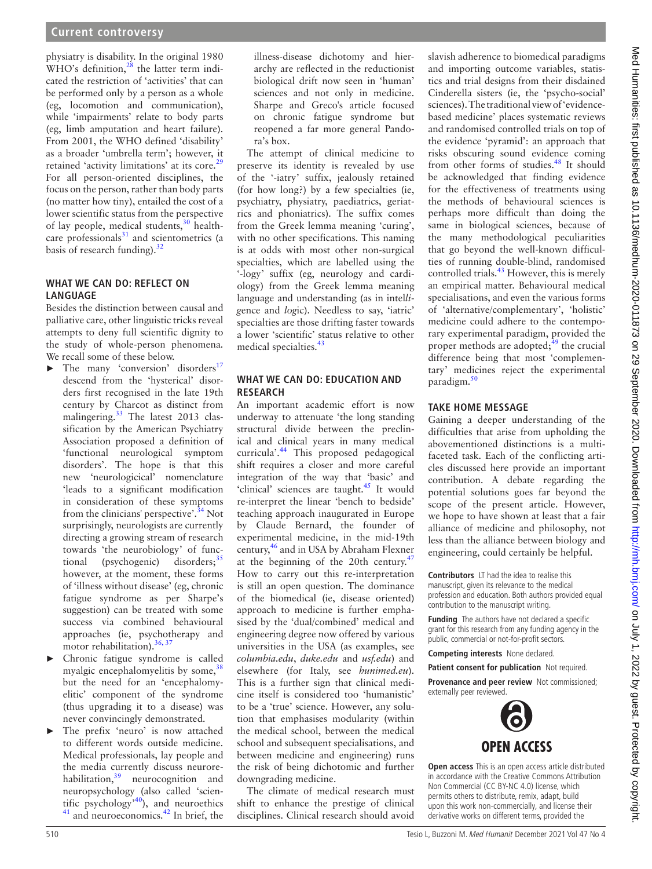physiatry is disability. In the original 1980 WHO's definition, $2^8$  the latter term indicated the restriction of 'activities' that can be performed only by a person as a whole (eg, locomotion and communication), while 'impairments' relate to body parts (eg, limb amputation and heart failure). From 2001, the WHO defined 'disability' as a broader 'umbrella term'; however, it retained 'activity limitations' at its core[.29](#page-4-28) For all person-oriented disciplines, the focus on the person, rather than body parts (no matter how tiny), entailed the cost of a lower scientific status from the perspective of lay people, medical students,  $30$  healthcare professionals $31$  and scientometrics (a basis of research funding). $32$ 

## WHAT WE CAN DO: REFLECT ON **language**

Besides the distinction between causal and palliative care, other linguistic tricks reveal attempts to deny full scientific dignity to the study of whole-person phenomena. We recall some of these below.

- $\blacktriangleright$  The many 'conversion' disorders<sup>17</sup> descend from the 'hysterical' disorders first recognised in the late 19th century by Charcot as distinct from malingering.<sup>[33](#page-4-32)</sup> The latest 2013 classification by the American Psychiatry Association proposed a definition of 'functional neurological symptom disorders'. The hope is that this new 'neurologicical' nomenclature 'leads to a significant modification in consideration of these symptoms from the clinicians' perspective'.<sup>34</sup> Not surprisingly, neurologists are currently directing a growing stream of research towards 'the neurobiology' of functional (psychogenic) disorders; $3\frac{3}{5}$ however, at the moment, these forms of 'illness without disease' (eg, chronic fatigue syndrome as per Sharpe's suggestion) can be treated with some success via combined behavioural approaches (ie, psychotherapy and motor rehabilitation).<sup>36, 37</sup>
- Chronic fatigue syndrome is called myalgic encephalomyelitis by some,  $38$ but the need for an 'encephalomyelitic' component of the syndrome (thus upgrading it to a disease) was never convincingly demonstrated.
- The prefix 'neuro' is now attached to different words outside medicine. Medical professionals, lay people and the media currently discuss neurorehabilitation,<sup>39</sup> neurocognition and neuropsychology (also called 'scientific psychology<sup> $,40$ </sup>), and neuroethics  $41$  and neuroeconomics.<sup>42</sup> In brief, the

illness-disease dichotomy and hierarchy are reflected in the reductionist biological drift now seen in 'human' sciences and not only in medicine. Sharpe and Greco's article focused on chronic fatigue syndrome but reopened a far more general Pandora's box.

The attempt of clinical medicine to preserve its identity is revealed by use of the '-iatry' suffix, jealously retained (for how long?) by a few specialties (ie, psychiatry, physiatry, paediatrics, geriatrics and phoniatrics). The suffix comes from the Greek lemma meaning 'curing', with no other specifications. This naming is at odds with most other non-surgical specialties, which are labelled using the '-logy' suffix (eg, neurology and cardiology) from the Greek lemma meaning language and understanding (as in intel*lig*ence and *log*ic). Needless to say, 'iatric' specialties are those drifting faster towards a lower 'scientific' status relative to other medical specialties.<sup>43</sup>

# WHAT WE CAN DO: EDUCATION AND **research**

An important academic effort is now underway to attenuate 'the long standing structural divide between the preclinical and clinical years in many medical curricula<sup>'.[44](#page-4-42)</sup> This proposed pedagogical shift requires a closer and more careful integration of the way that 'basic' and 'clinical' sciences are taught. $45$  It would re-interpret the linear 'bench to bedside' teaching approach inaugurated in Europe by Claude Bernard, the founder of experimental medicine, in the mid-19th century, [46](#page-4-44) and in USA by Abraham Flexner at the beginning of the 20th century[.47](#page-4-45) How to carry out this re-interpretation is still an open question. The dominance of the biomedical (ie, disease oriented) approach to medicine is further emphasised by the 'dual/combined' medical and engineering degree now offered by various universities in the USA (as examples, see *columbia.edu*, *duke.edu* and *usf.edu*) and elsewhere (for Italy, see *hunimed.eu*). This is a further sign that clinical medicine itself is considered too 'humanistic' to be a 'true' science. However, any solution that emphasises modularity (within the medical school, between the medical school and subsequent specialisations, and between medicine and engineering) runs the risk of being dichotomic and further downgrading medicine.

The climate of medical research must shift to enhance the prestige of clinical disciplines. Clinical research should avoid

slavish adherence to biomedical paradigms and importing outcome variables, statistics and trial designs from their disdained Cinderella sisters (ie, the 'psycho-social' sciences). The traditional view of 'evidencebased medicine' places systematic reviews and randomised controlled trials on top of the evidence 'pyramid': an approach that risks obscuring sound evidence coming from other forms of studies.<sup>[48](#page-4-46)</sup> It should be acknowledged that finding evidence for the effectiveness of treatments using the methods of behavioural sciences is perhaps more difficult than doing the same in biological sciences, because of the many methodological peculiarities that go beyond the well-known difficulties of running double-blind, randomised controlled trials.43 However, this is merely an empirical matter. Behavioural medical specialisations, and even the various forms of 'alternative/complementary', 'holistic' medicine could adhere to the contemporary experimental paradigm, provided the proper methods are adopted; $49$  the crucial difference being that most 'complementary' medicines reject the experimental paradigm.[50](#page-4-48)

# **Take home message**

Gaining a deeper understanding of the difficulties that arise from upholding the abovementioned distinctions is a multifaceted task. Each of the conflicting articles discussed here provide an important contribution. A debate regarding the potential solutions goes far beyond the scope of the present article. However, we hope to have shown at least that a fair alliance of medicine and philosophy, not less than the alliance between biology and engineering, could certainly be helpful.

**Contributors** LT had the idea to realise this manuscript, given its relevance to the medical profession and education. Both authors provided equal contribution to the manuscript writing.

**Funding** The authors have not declared a specific grant for this research from any funding agency in the public, commercial or not-for-profit sectors.

**Competing interests** None declared.

**Patient consent for publication** Not required.

**Provenance and peer review** Not commissioned; externally peer reviewed.



**Open access** This is an open access article distributed in accordance with the Creative Commons Attribution Non Commercial (CC BY-NC 4.0) license, which permits others to distribute, remix, adapt, build upon this work non-commercially, and license their derivative works on different terms, provided the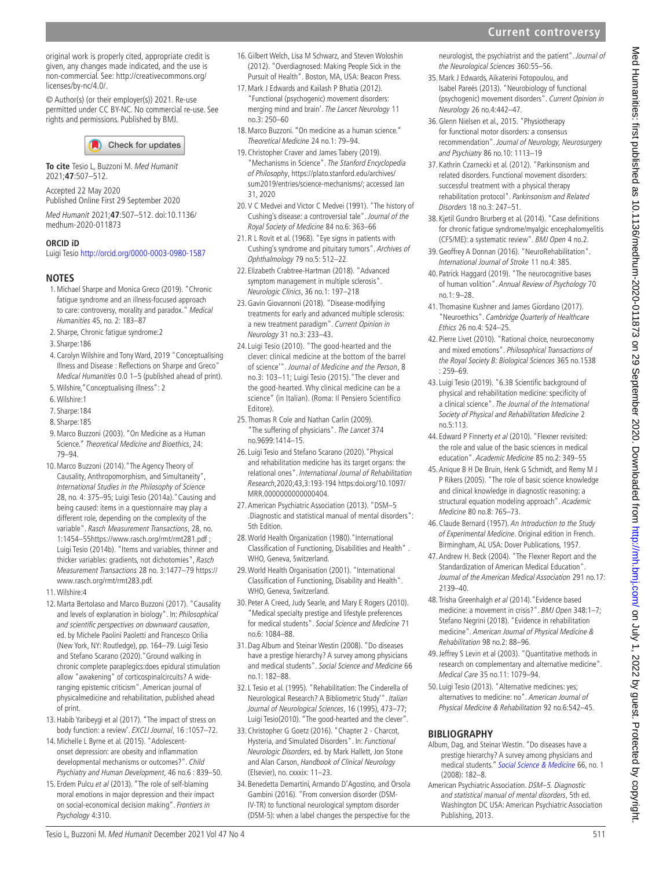# **Current controversy**

original work is properly cited, appropriate credit is given, any changes made indicated, and the use is non-commercial. See: [http://creativecommons.org/](http://creativecommons.org/licenses/by-nc/4.0/) [licenses/by-nc/4.0/.](http://creativecommons.org/licenses/by-nc/4.0/)

© Author(s) (or their employer(s)) 2021. Re-use permitted under CC BY-NC. No commercial re-use. See rights and permissions. Published by BMJ.

Check for updates

**To cite** Tesio L, Buzzoni M. Med Humanit 2021;**47**:507–512.

Accepted 22 May 2020 Published Online First 29 September 2020

Med Humanit 2021;**47**:507–512. doi:10.1136/ medhum-2020-011873

#### **ORCID iD**

Luigi Tesio <http://orcid.org/0000-0003-0980-1587>

## **Notes**

- <span id="page-4-0"></span>1.[Michael Sharpe and Monica Greco \(2019\).](#page-5-0) "Chronic fatigue syndrome and an illness-focused approach to care: controversy, morality and paradox." Medical Humanities 45, no. 2: 183–87
- <span id="page-4-1"></span>2. Sharpe, Chronic fatigue syndrome:2
- <span id="page-4-2"></span>3. Sharpe:186
- <span id="page-4-3"></span>4.[Carolyn Wilshire and Tony Ward, 2019](#page-5-1) "Conceptualising Illness and Disease : Reflections on Sharpe and Greco" Medical Humanities 0.0 1–5 (published ahead of print).
- <span id="page-4-4"></span>5.Wilshire,"Conceptualising illness": 2
- <span id="page-4-5"></span>6.Wilshire:1
- <span id="page-4-6"></span>7. Sharpe:184
- <span id="page-4-7"></span>8. Sharpe:185
- <span id="page-4-8"></span>9.Marco Buzzoni (2003). "On Medicine as a Human Science." Theoretical Medicine and Bioethics, 24: 79–94.
- <span id="page-4-9"></span>10.[Marco Buzzoni \(2014\)](#page-5-2)."The Agency Theory of Causality, Anthropomorphism, and Simultaneity", International Studies in the Philosophy of Science 28, no. 4: 375–95; [Luigi Tesio \(2014a\)](#page-5-3)."Causing and being caused: items in a questionnaire may play a different role, depending on the complexity of the variable". Rasch Measurement Transactions, 28, no. 1:1454–5[5https://www.rasch.org/rmt/rmt281.pdf](https://www.rasch.org/rmt/rmt281.pdf) ; [Luigi Tesio \(2014b\)](#page-5-4). "Items and variables, thinner and thicker variables: gradients, not dichotomies", Rasch Measurement Transactions 28 no. 3:1477–79 [https://](https://www.rasch.org/rmt/rmt283.pdf) [www.rasch.org/rmt/rmt283.pdf.](https://www.rasch.org/rmt/rmt283.pdf)
- <span id="page-4-10"></span>11.Wilshire:4
- <span id="page-4-11"></span>12.[Marta Bertolaso and Marco Buzzoni \(2017\).](#page-5-5) "Causality and levels of explanation in biology". In: Philosophical and scientific perspectives on downward causation, ed. by Michele Paolini Paoletti and Francesco Orilia (New York, NY: Routledge), pp. 164–79. [Luigi Tesio](#page-5-6)  [and Stefano Scarano \(2020\)](#page-5-6)."Ground walking in chronic complete paraplegics:does epidural stimulation allow "awakening" of corticospinalcircuits? A wideranging epistemic criticism". American journal of physicalmedicine and rehabilitation, published ahead of print.
- <span id="page-4-12"></span>13.[Habib Yaribeygi et al \(2017\).](#page-5-7) "The impact of stress on body function: a review'. EXCLI Journal, 16 :1057–72.
- <span id="page-4-13"></span>14.[Michelle L Byrne et al. \(2015\)](#page-5-8). "Adolescentonset depression: are obesity and inflammation developmental mechanisms or outcomes?". Child Psychiatry and Human Development, 46 no.6 : 839–50.
- <span id="page-4-14"></span>15. Erdem Pulcu et al (2013). "The role of self-blaming moral emotions in major depression and their impact on social-economical decision making". Frontiers in Psychology 4:310.
- <span id="page-4-15"></span>16.[Gilbert Welch, Lisa M Schwarz, and Steven Woloshin](#page-5-9)  [\(2012\).](#page-5-9) "Overdiagnosed: Making People Sick in the Pursuit of Health". Boston, MA, USA: Beacon Press.
- <span id="page-4-16"></span>17.[Mark J Edwards and Kailash P Bhatia \(2012\).](#page-5-10) "Functional (psychogenic) movement disorders: merging mind and brain'. The Lancet Neurology 11 no.3: 250–60
- <span id="page-4-17"></span>18.Marco Buzzoni. "On medicine as a human science." Theoretical Medicine 24 no.1: 79–94.
- <span id="page-4-18"></span>19.[Christopher Craver and James Tabery \(2019\).](#page-5-11) "Mechanisms in Science". The Stanford Encyclopedia of Philosophy, [https://plato.stanford.edu/archives/](https://plato.stanford.edu/archives/sum2019/entries/science-mechanisms/) [sum2019/entries/science-mechanisms/](https://plato.stanford.edu/archives/sum2019/entries/science-mechanisms/); accessed Jan 31, 2020
- <span id="page-4-19"></span>20. [V C Medvei and Victor C Medvei \(1991\).](#page-5-12) "The history of Cushing's disease: a controversial tale". Journal of the Royal Society of Medicine 84 no.6: 363–66
- <span id="page-4-20"></span>21. [R L Rovit et al. \(1968\)](#page-5-13). "Eye signs in patients with Cushing's syndrome and pituitary tumors". Archives of Ophthalmology 79 no.5: 512-22.
- <span id="page-4-21"></span>22. [Elizabeth Crabtree-Hartman \(2018\)](#page-5-14). "Advanced symptom management in multiple sclerosis". Neurologic Clinics, 36 no.1: 197–218
- <span id="page-4-22"></span>23.[Gavin Giovannoni \(2018\)](#page-5-15). "Disease-modifying treatments for early and advanced multiple sclerosis: a new treatment paradigm". Current Opinion in Neurology 31 no.3: 233–43.
- <span id="page-4-23"></span>24.[Luigi Tesio \(2010\).](#page-5-16) "The good-hearted and the clever: clinical medicine at the bottom of the barrel of science'". Journal of Medicine and the Person, 8 no.3: 103–11; [Luigi Tesio \(2015\).](#page-5-17)"The clever and the good-hearted. Why clinical medicine can be a science" (in Italian). (Roma: Il Pensiero Scientifico Editore).
- <span id="page-4-24"></span>25. [Thomas R Cole and Nathan Carlin \(2009\)](#page-5-18). "The suffering of physicians". The Lancet 374 no.9699:1414–15.
- <span id="page-4-25"></span>26.[Luigi Tesio and Stefano Scarano \(2020\).](#page-5-6)"Physical and rehabilitation medicine has its target organs: the relational ones". International Journal of Rehabilitation Research,2020;43,3:193-194 [https:doi.org/10.1097/](https:doi.org/10.1097/MRR.0000000000000404) [MRR.0000000000000404](https:doi.org/10.1097/MRR.0000000000000404).
- <span id="page-4-26"></span>27.[American Psychiatric Association \(2013\)](#page-4-49). "DSM–5 .Diagnostic and statistical manual of mental disorders": 5th Edition.
- <span id="page-4-27"></span>28.[World Health Organization \(1980\)](#page-5-19)."International Classification of Functioning, Disabilities and Health" . WHO, Geneva, Switzerland.
- <span id="page-4-28"></span>29.[World Health Organisation \(2001\)](#page-5-20). "International Classification of Functioning, Disability and Health". WHO, Geneva, Switzerland.
- <span id="page-4-29"></span>30. [Peter A Creed, Judy Searle, and Mary E Rogers \(2010\).](#page-5-21) "Medical specialty prestige and lifestyle preferences for medical students". Social Science and Medicine 71 no.6: 1084–88.
- <span id="page-4-30"></span>31.[Dag Album and Steinar Westin \(2008\).](#page-4-50) "Do diseases have a prestige hierarchy? A survey among physicians and medical students". Social Science and Medicine 66 no.1: 182–88.
- <span id="page-4-31"></span>32.[L Tesio et al. \(1995\)](#page-5-22). "Rehabilitation: The Cinderella of Neurological Research? A Bibliometric Study'". Italian Journal of Neurological Sciences, 16 (1995), 473–77; Luigi Tesio(2010). "The good-hearted and the clever".
- <span id="page-4-32"></span>33.[Christopher G Goetz \(2016\)](#page-5-23). "Chapter 2 - Charcot, Hysteria, and Simulated Disorders". In: Functional Neurologic Disorders, ed. by Mark Hallett, Jon Stone and Alan Carson, Handbook of Clinical Neurology (Elsevier), no. cxxxix: 11–23.
- <span id="page-4-33"></span>34. [Benedetta Demartini, Armando D'Agostino, and Orsola](#page-5-24)  [Gambini \(2016\).](#page-5-24) "From conversion disorder (DSM-IV-TR) to functional neurological symptom disorder (DSM-5): when a label changes the perspective for the

neurologist, the psychiatrist and the patient". Journal of the Neurological Sciences 360:55–56.

- <span id="page-4-34"></span>35.[Mark J Edwards, Aikaterini Fotopoulou, and](#page-5-25)  [Isabel Pareés \(2013\).](#page-5-25) "Neurobiology of functional (psychogenic) movement disorders". Current Opinion in Neurology 26 no.4:442–47.
- <span id="page-4-35"></span>36.[Glenn Nielsen et al., 2015.](#page-5-26) "Physiotherapy for functional motor disorders: a consensus recommendation". Journal of Neurology, Neurosurgery and Psychiatry 86 no.10: 1113–19
- 37. [Kathrin Czarnecki et al. \(2012\).](#page-5-27) "Parkinsonism and related disorders. Functional movement disorders: successful treatment with a physical therapy rehabilitation protocol". Parkinsonism and Related Disorders 18 no.3: 247–51.
- <span id="page-4-36"></span>38. [Kjetil Gundro Brurberg et al. \(2014\)](#page-5-28). "Case definitions for chronic fatigue syndrome/myalgic encephalomyelitis (CFS/ME): a systematic review". BMJ Open 4 no.2.
- <span id="page-4-37"></span>39.[Geoffrey A Donnan \(2016\)](#page-5-29). "NeuroRehabilitation". International Journal of Stroke 11 no.4: 385.
- <span id="page-4-38"></span>40. [Patrick Haggard \(2019\).](#page-5-30) "The neurocognitive bases of human volition". Annual Review of Psychology 70 no.1: 9–28.
- <span id="page-4-39"></span>41. [Thomasine Kushner and James Giordano \(2017\)](#page-5-31). "Neuroethics". Cambridge Quarterly of Healthcare Ethics 26 no.4: 524–25.
- <span id="page-4-40"></span>42. [Pierre Livet \(2010\)](#page-5-32). "Rational choice, neuroeconomy and mixed emotions". Philosophical Transactions of the Royal Society B: Biological Sciences 365 no.1538 : 259–69.
- <span id="page-4-41"></span>43.[Luigi Tesio \(2019\)](#page-5-33). "6.3B Scientific background of physical and rehabilitation medicine: specificity of a clinical science". The Journal of the International Society of Physical and Rehabilitation Medicine 2 no.5:113.
- <span id="page-4-42"></span>44. Edward P Finnerty et al (2010). "Flexner revisited: the role and value of the basic sciences in medical education". Academic Medicine 85 no.2: 349–55
- <span id="page-4-43"></span>45.Anique B H De Bruin, Henk G Schmidt, and Remy M J P Rikers (2005). "The role of basic science knowledge and clinical knowledge in diagnostic reasoning: a structural equation modeling approach". Academic Medicine 80 no.8: 765–73.
- <span id="page-4-44"></span>46.[Claude Bernard \(1957\)](#page-5-34). An Introduction to the Study of Experimental Medicine. Original edition in French. Birmingham, AL USA: Dover Publications, 1957.
- <span id="page-4-45"></span>47.Andrew H. Beck (2004). "The Flexner Report and the Standardization of American Medical Education". Journal of the American Medical Association 291 no.17: 2139–40.
- <span id="page-4-46"></span>48. Trisha Greenhalgh et al (2014)."Evidence based medicine: a movement in crisis?". BMJ Open 348:1–7; Stefano Negrini (2018). "Evidence in rehabilitation medicine". American Journal of Physical Medicine & Rehabilitation 98 no.2: 88–96.
- <span id="page-4-47"></span>49.[Jeffrey S Levin et al \(2003\)](#page-5-35). "Quantitative methods in research on complementary and alternative medicine". Medical Care 35 no.11: 1079–94.
- <span id="page-4-48"></span>50.[Luigi Tesio \(2013\)](#page-5-36). "Alternative medicines: yes; alternatives to medicine: no". American Journal of Physical Medicine & Rehabilitation 92 no.6:542–45.

# **Bibliography**

- <span id="page-4-50"></span>Album, Dag, and Steinar Westin. "Do diseases have a prestige hierarchy? A survey among physicians and medical students." [Social Science & Medicine](http://dx.doi.org/10.1016/j.socscimed.2007.07.003) 66, no. 1 (2008): 182–8.
- <span id="page-4-49"></span>American Psychiatric Association. DSM–5. Diagnostic and statistical manual of mental disorders, 5th ed. Washington DC USA: American Psychiatric Association Publishing, 2013.